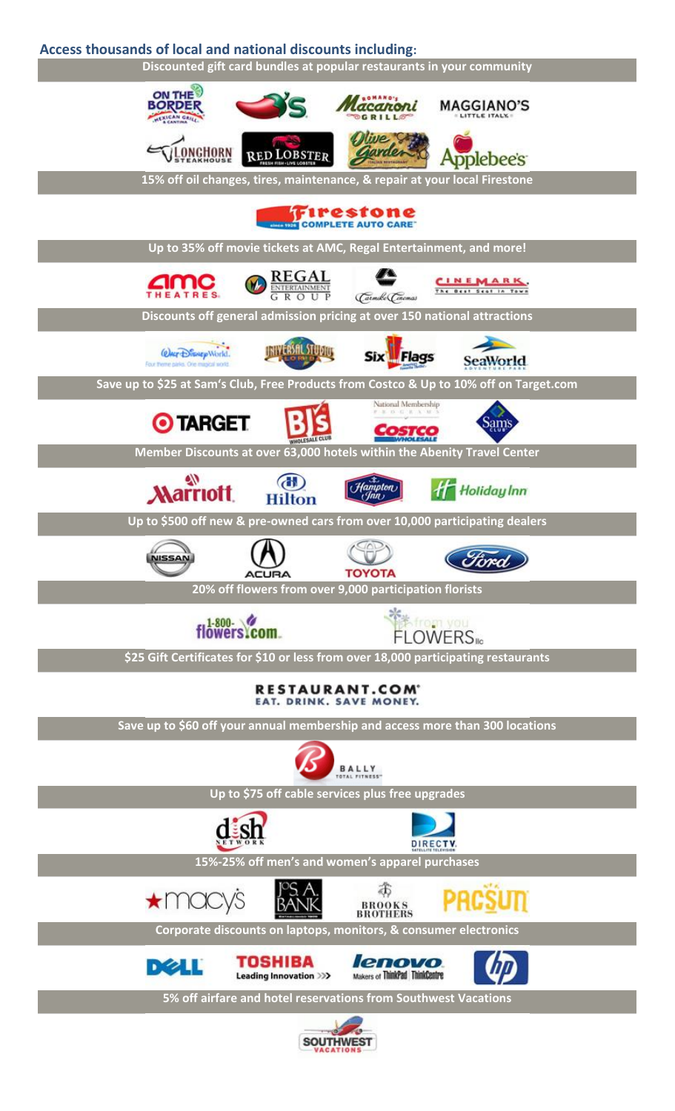## **Access thousands of local and national discounts including:**



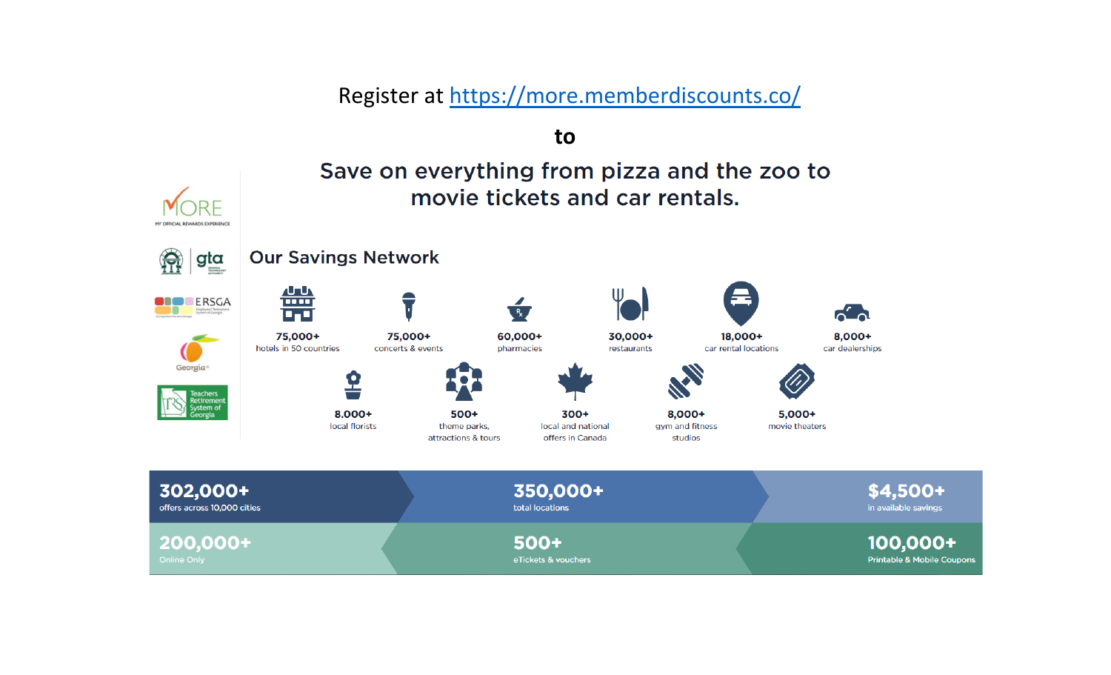Register at https://[more.memberdiscounts.co/](https://more.memberdiscounts.co/)

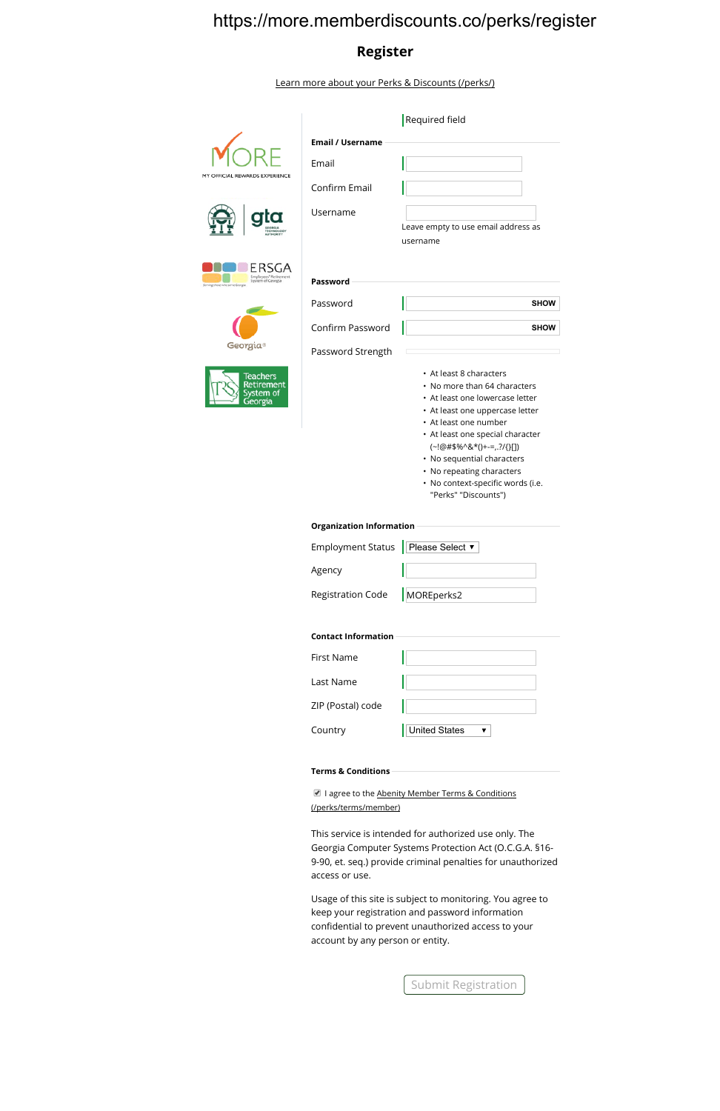## https://more.memberdiscounts.co/perks/register

## **Register**

Learn more about your Perks & Discounts (/perks/)



|                                                  | Required field                                                                                                                                                                                                                                                                                                                                        |
|--------------------------------------------------|-------------------------------------------------------------------------------------------------------------------------------------------------------------------------------------------------------------------------------------------------------------------------------------------------------------------------------------------------------|
| <b>Email / Username</b>                          |                                                                                                                                                                                                                                                                                                                                                       |
| Email                                            |                                                                                                                                                                                                                                                                                                                                                       |
| Confirm Email                                    |                                                                                                                                                                                                                                                                                                                                                       |
| Username                                         | Leave empty to use email address as<br>username                                                                                                                                                                                                                                                                                                       |
| Password                                         |                                                                                                                                                                                                                                                                                                                                                       |
| Password                                         | <b>SHOW</b>                                                                                                                                                                                                                                                                                                                                           |
| Confirm Password                                 | <b>SHOW</b>                                                                                                                                                                                                                                                                                                                                           |
| Password Strength                                |                                                                                                                                                                                                                                                                                                                                                       |
|                                                  | • At least 8 characters<br>• No more than 64 characters<br>• At least one lowercase letter<br>• At least one uppercase letter<br>• At least one number<br>• At least one special character<br>$(-!@#$%^R*()+-=,.?{}^I{}_{II}$<br>• No sequential characters<br>• No repeating characters<br>· No context-specific words (i.e.<br>"Perks" "Discounts") |
| <b>Organization Information</b>                  |                                                                                                                                                                                                                                                                                                                                                       |
| <b>Employment Status</b>                         | Please Select ▼                                                                                                                                                                                                                                                                                                                                       |
| Agency                                           |                                                                                                                                                                                                                                                                                                                                                       |
| <b>Registration Code</b>                         | MOREperks2                                                                                                                                                                                                                                                                                                                                            |
| <b>Contact Information</b>                       |                                                                                                                                                                                                                                                                                                                                                       |
| <b>First Name</b>                                |                                                                                                                                                                                                                                                                                                                                                       |
| Last Name                                        |                                                                                                                                                                                                                                                                                                                                                       |
| ZIP (Postal) code                                |                                                                                                                                                                                                                                                                                                                                                       |
| Country                                          | <b>United States</b><br>▼                                                                                                                                                                                                                                                                                                                             |
| <b>Terms &amp; Conditions</b>                    |                                                                                                                                                                                                                                                                                                                                                       |
| I agree to the Abenity Member Terms & Conditions |                                                                                                                                                                                                                                                                                                                                                       |

(/perks/terms/member)

This service is intended for authorized use only. The [Georgia Computer Systems Protection Act](https://more.memberdiscounts.co/perks/terms/member) (O.C.G.A. §16- 9-90, et. seq.) provide criminal penalties for unauthorized access or use.

Usage of this site is subject to monitoring. You agree to keep your registration and password information confidential to prevent unauthorized access to your account by any person or entity.